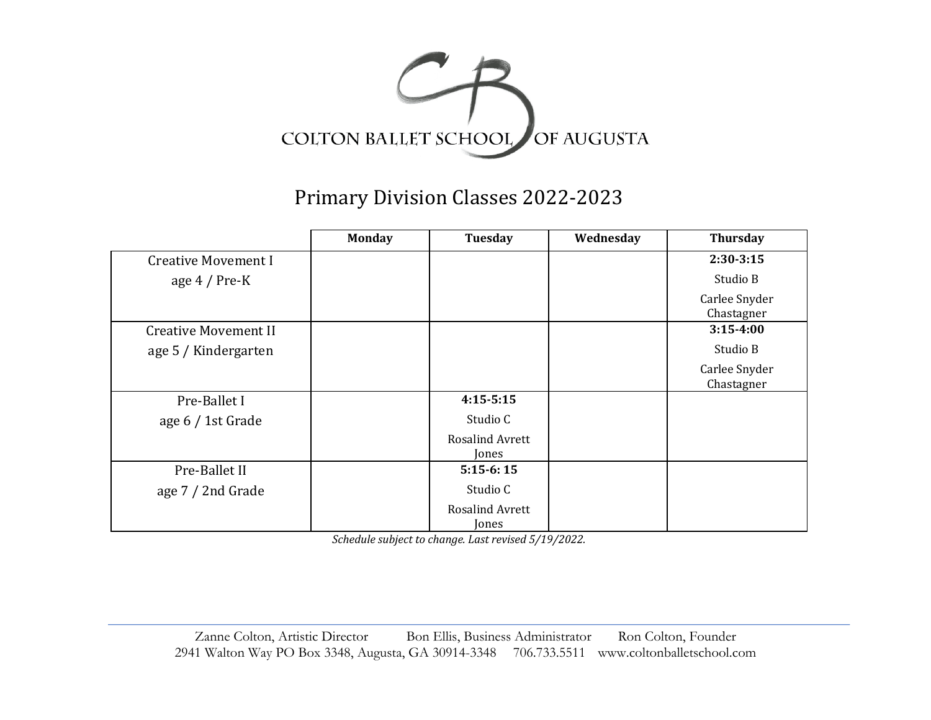

## Primary Division Classes 2022-2023

|                             | <b>Monday</b> | Tuesday                         | Wednesday | <b>Thursday</b>             |
|-----------------------------|---------------|---------------------------------|-----------|-----------------------------|
| <b>Creative Movement I</b>  |               |                                 |           | $2:30-3:15$                 |
| age $4/Pre-K$               |               |                                 |           | Studio B                    |
|                             |               |                                 |           | Carlee Snyder<br>Chastagner |
| <b>Creative Movement II</b> |               |                                 |           | $3:15-4:00$                 |
| age 5 / Kindergarten        |               |                                 |           | Studio B                    |
|                             |               |                                 |           | Carlee Snyder<br>Chastagner |
| Pre-Ballet I                |               | $4:15-5:15$                     |           |                             |
| age 6 / 1st Grade           |               | Studio C                        |           |                             |
|                             |               | Rosalind Avrett<br>Jones        |           |                             |
| Pre-Ballet II               |               | $5:15-6:15$                     |           |                             |
| age 7 / 2nd Grade           |               | Studio C                        |           |                             |
|                             |               | <b>Rosalind Avrett</b><br>Jones |           |                             |

*Schedule subject to change. Last revised 5/19/2022.*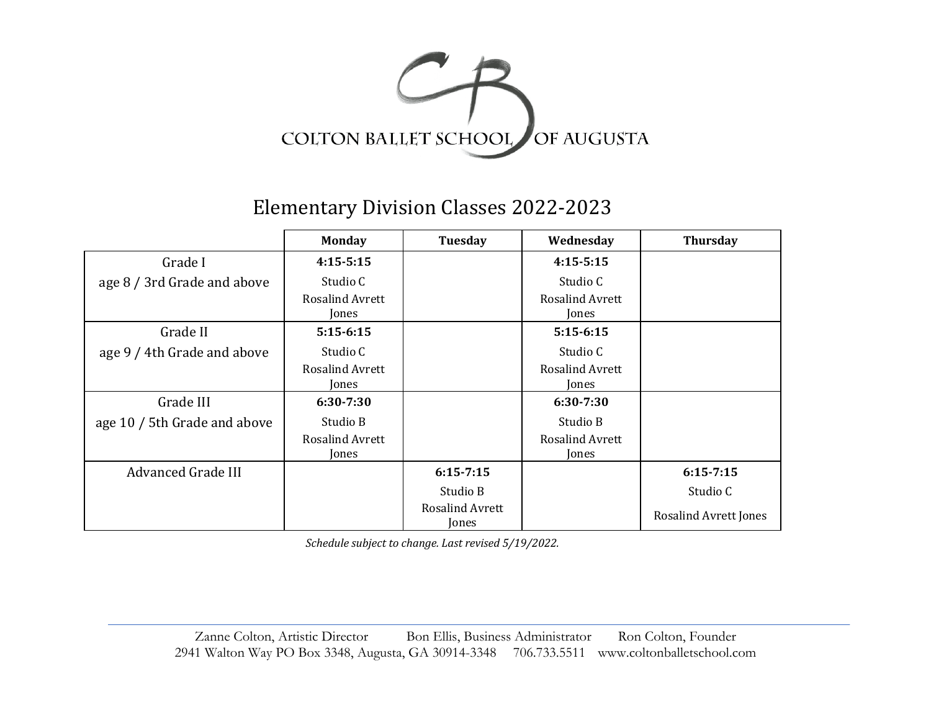

Elementary Division Classes 2022-2023

|                              | <b>Monday</b>                   | Tuesday                         | Wednesday                       | <b>Thursday</b>       |
|------------------------------|---------------------------------|---------------------------------|---------------------------------|-----------------------|
| Grade I                      | $4:15-5:15$                     |                                 | $4:15-5:15$                     |                       |
| age 8 / 3rd Grade and above  | Studio C                        |                                 | Studio C                        |                       |
|                              | <b>Rosalind Avrett</b><br>Jones |                                 | <b>Rosalind Avrett</b><br>Jones |                       |
| Grade II                     | $5:15-6:15$                     |                                 | $5:15-6:15$                     |                       |
| age 9 / 4th Grade and above  | Studio C                        |                                 | Studio C                        |                       |
|                              | <b>Rosalind Avrett</b>          |                                 | <b>Rosalind Avrett</b>          |                       |
|                              | Jones                           |                                 | Jones                           |                       |
| Grade III                    | 6:30-7:30                       |                                 | 6:30-7:30                       |                       |
| age 10 / 5th Grade and above | Studio B                        |                                 | Studio B                        |                       |
|                              | <b>Rosalind Avrett</b>          |                                 | <b>Rosalind Avrett</b>          |                       |
|                              | Jones                           |                                 | Jones                           |                       |
| <b>Advanced Grade III</b>    |                                 | $6:15 - 7:15$                   |                                 | $6:15 - 7:15$         |
|                              |                                 | Studio B                        |                                 | Studio C              |
|                              |                                 | <b>Rosalind Avrett</b><br>Jones |                                 | Rosalind Avrett Jones |

*Schedule subject to change. Last revised 5/19/2022.*